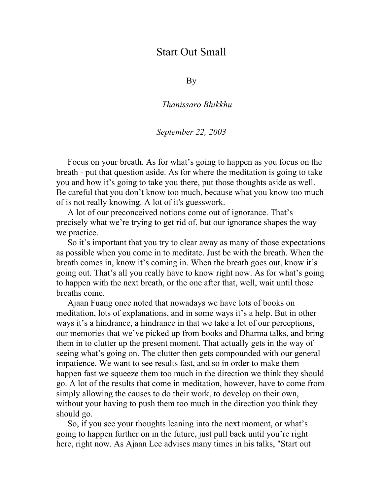## Start Out Small

By

*Thanissaro Bhikkhu* 

## *September 22, 2003*

Focus on your breath. As for what's going to happen as you focus on the breath - put that question aside. As for where the meditation is going to take you and how it's going to take you there, put those thoughts aside as well. Be careful that you don't know too much, because what you know too much of is not really knowing. A lot of it's guesswork.

A lot of our preconceived notions come out of ignorance. That's precisely what we're trying to get rid of, but our ignorance shapes the way we practice.

So it's important that you try to clear away as many of those expectations as possible when you come in to meditate. Just be with the breath. When the breath comes in, know it's coming in. When the breath goes out, know it's going out. That's all you really have to know right now. As for what's going to happen with the next breath, or the one after that, well, wait until those breaths come.

Ajaan Fuang once noted that nowadays we have lots of books on meditation, lots of explanations, and in some ways it's a help. But in other ways it's a hindrance, a hindrance in that we take a lot of our perceptions, our memories that we've picked up from books and Dharma talks, and bring them in to clutter up the present moment. That actually gets in the way of seeing what's going on. The clutter then gets compounded with our general impatience. We want to see results fast, and so in order to make them happen fast we squeeze them too much in the direction we think they should go. A lot of the results that come in meditation, however, have to come from simply allowing the causes to do their work, to develop on their own, without your having to push them too much in the direction you think they should go.

So, if you see your thoughts leaning into the next moment, or what's going to happen further on in the future, just pull back until you're right here, right now. As Ajaan Lee advises many times in his talks, "Start out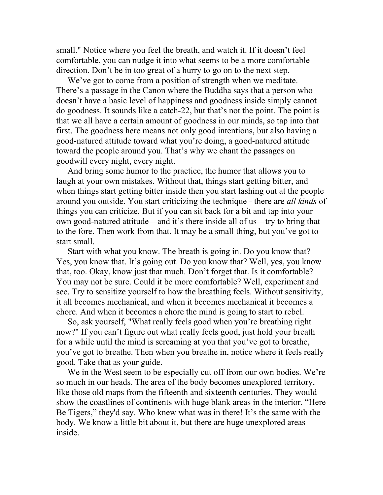small." Notice where you feel the breath, and watch it. If it doesn't feel comfortable, you can nudge it into what seems to be a more comfortable direction. Don't be in too great of a hurry to go on to the next step.

We've got to come from a position of strength when we meditate. There's a passage in the Canon where the Buddha says that a person who doesn't have a basic level of happiness and goodness inside simply cannot do goodness. It sounds like a catch-22, but that's not the point. The point is that we all have a certain amount of goodness in our minds, so tap into that first. The goodness here means not only good intentions, but also having a good-natured attitude toward what you're doing, a good-natured attitude toward the people around you. That's why we chant the passages on goodwill every night, every night.

And bring some humor to the practice, the humor that allows you to laugh at your own mistakes. Without that, things start getting bitter, and when things start getting bitter inside then you start lashing out at the people around you outside. You start criticizing the technique - there are *all kinds* of things you can criticize. But if you can sit back for a bit and tap into your own good-natured attitude—and it's there inside all of us—try to bring that to the fore. Then work from that. It may be a small thing, but you've got to start small.

Start with what you know. The breath is going in. Do you know that? Yes, you know that. It's going out. Do you know that? Well, yes, you know that, too. Okay, know just that much. Don't forget that. Is it comfortable? You may not be sure. Could it be more comfortable? Well, experiment and see. Try to sensitize yourself to how the breathing feels. Without sensitivity, it all becomes mechanical, and when it becomes mechanical it becomes a chore. And when it becomes a chore the mind is going to start to rebel.

So, ask yourself, "What really feels good when you're breathing right now?" If you can't figure out what really feels good, just hold your breath for a while until the mind is screaming at you that you've got to breathe, you've got to breathe. Then when you breathe in, notice where it feels really good. Take that as your guide.

We in the West seem to be especially cut off from our own bodies. We're so much in our heads. The area of the body becomes unexplored territory, like those old maps from the fifteenth and sixteenth centuries. They would show the coastlines of continents with huge blank areas in the interior. "Here Be Tigers," they'd say. Who knew what was in there! It's the same with the body. We know a little bit about it, but there are huge unexplored areas inside.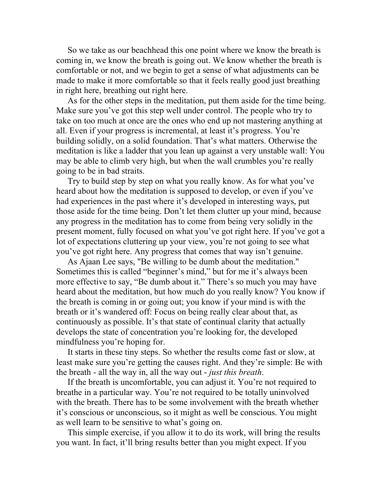So we take as our beachhead this one point where we know the breath is coming in, we know the breath is going out. We know whether the breath is comfortable or not, and we begin to get a sense of what adjustments can be made to make it more comfortable so that it feels really good just breathing in right here, breathing out right here.

As for the other steps in the meditation, put them aside for the time being. Make sure you've got this step well under control. The people who try to take on too much at once are the ones who end up not mastering anything at all. Even if your progress is incremental, at least it's progress. You're building solidly, on a solid foundation. That's what matters. Otherwise the meditation is like a ladder that you lean up against a very unstable wall: You may be able to climb very high, but when the wall crumbles you're really going to be in bad straits.

Try to build step by step on what you really know. As for what you've heard about how the meditation is supposed to develop, or even if you've had experiences in the past where it's developed in interesting ways, put those aside for the time being. Don't let them clutter up your mind, because any progress in the meditation has to come from being very solidly in the present moment, fully focused on what you've got right here. If you've got a lot of expectations cluttering up your view, you're not going to see what you've got right here. Any progress that comes that way isn't genuine.

As Ajaan Lee says, "Be willing to be dumb about the meditation." Sometimes this is called "beginner's mind," but for me it's always been more effective to say, "Be dumb about it." There's so much you may have heard about the meditation, but how much do you really know? You know if the breath is coming in or going out; you know if your mind is with the breath or it's wandered off: Focus on being really clear about that, as continuously as possible. It's that state of continual clarity that actually develops the state of concentration you're looking for, the developed mindfulness you're hoping for.

It starts in these tiny steps. So whether the results come fast or slow, at least make sure you're getting the causes right. And they're simple: Be with the breath - all the way in, all the way out - *just this breath*.

If the breath is uncomfortable, you can adjust it. You're not required to breathe in a particular way. You're not required to be totally uninvolved with the breath. There has to be some involvement with the breath whether it's conscious or unconscious, so it might as well be conscious. You might as well learn to be sensitive to what's going on.

This simple exercise, if you allow it to do its work, will bring the results you want. In fact, it'll bring results better than you might expect. If you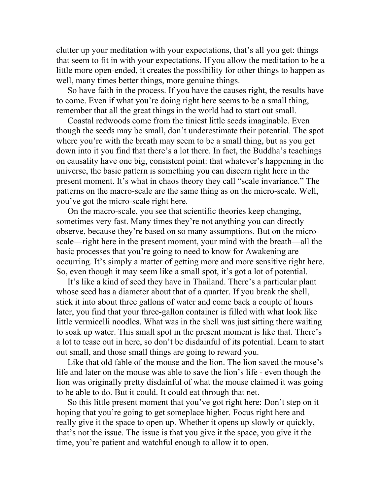clutter up your meditation with your expectations, that's all you get: things that seem to fit in with your expectations. If you allow the meditation to be a little more open-ended, it creates the possibility for other things to happen as well, many times better things, more genuine things.

So have faith in the process. If you have the causes right, the results have to come. Even if what you're doing right here seems to be a small thing, remember that all the great things in the world had to start out small.

Coastal redwoods come from the tiniest little seeds imaginable. Even though the seeds may be small, don't underestimate their potential. The spot where you're with the breath may seem to be a small thing, but as you get down into it you find that there's a lot there. In fact, the Buddha's teachings on causality have one big, consistent point: that whatever's happening in the universe, the basic pattern is something you can discern right here in the present moment. It's what in chaos theory they call "scale invariance." The patterns on the macro-scale are the same thing as on the micro-scale. Well, you've got the micro-scale right here.

On the macro-scale, you see that scientific theories keep changing, sometimes very fast. Many times they're not anything you can directly observe, because they're based on so many assumptions. But on the microscale—right here in the present moment, your mind with the breath—all the basic processes that you're going to need to know for Awakening are occurring. It's simply a matter of getting more and more sensitive right here. So, even though it may seem like a small spot, it's got a lot of potential.

It's like a kind of seed they have in Thailand. There's a particular plant whose seed has a diameter about that of a quarter. If you break the shell, stick it into about three gallons of water and come back a couple of hours later, you find that your three-gallon container is filled with what look like little vermicelli noodles. What was in the shell was just sitting there waiting to soak up water. This small spot in the present moment is like that. There's a lot to tease out in here, so don't be disdainful of its potential. Learn to start out small, and those small things are going to reward you.

Like that old fable of the mouse and the lion. The lion saved the mouse's life and later on the mouse was able to save the lion's life - even though the lion was originally pretty disdainful of what the mouse claimed it was going to be able to do. But it could. It could eat through that net.

So this little present moment that you've got right here: Don't step on it hoping that you're going to get someplace higher. Focus right here and really give it the space to open up. Whether it opens up slowly or quickly, that's not the issue. The issue is that you give it the space, you give it the time, you're patient and watchful enough to allow it to open.